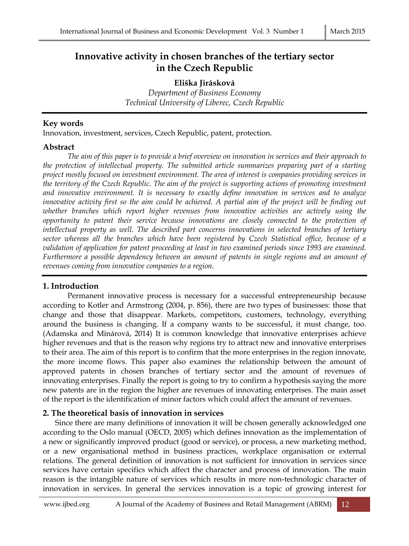# **Innovative activity in chosen branches of the tertiary sector in the Czech Republic**

**Eliška Jirásková** *Department of Business Economy Technical University of Liberec, Czech Republic*

### **Key words**

Innovation, investment, services, Czech Republic, patent, protection.

#### **Abstract**

*The aim of this paper is to provide a brief overview on innovation in services and their approach to the protection of intellectual property. The submitted article summarizes preparing part of a starting project mostly focused on investment environment. The area of interest is companies providing services in the territory of the Czech Republic. The aim of the project is supporting actions of promoting investment and innovative environment. It is necessary to exactly define innovation in services and to analyze*  innovative activity first so the aim could be achieved. A partial aim of the project will be finding out *whether branches which report higher revenues from innovative activities are actively using the opportunity to patent their service because innovations are closely connected to the protection of intellectual property as well. The described part concerns innovations in selected branches of tertiary sector whereas all the branches which have been registered by Czech Statistical office, because of a validation of application for patent proceeding at least in two examined periods since 1993 are examined. Furthermore a possible dependency between an amount of patents in single regions and an amount of revenues coming from innovative companies to a region.*

### **1. Introduction**

Permanent innovative process is necessary for a successful entrepreneurship because according to Kotler and Armstrong (2004, p. 856), there are two types of businesses: those that change and those that disappear. Markets, competitors, customers, technology, everything around the business is changing. If a company wants to be successful, it must change, too. (Adamska and Minárová, 2014) It is common knowledge that innovative enterprises achieve higher revenues and that is the reason why regions try to attract new and innovative enterprises to their area. The aim of this report is to confirm that the more enterprises in the region innovate, the more income flows. This paper also examines the relationship between the amount of approved patents in chosen branches of tertiary sector and the amount of revenues of innovating enterprises. Finally the report is going to try to confirm a hypothesis saying the more new patents are in the region the higher are revenues of innovating enterprises. The main asset of the report is the identification of minor factors which could affect the amount of revenues.

### **2. The theoretical basis of innovation in services**

Since there are many definitions of innovation it will be chosen generally acknowledged one according to the Oslo manual (OECD, 2005) which defines innovation as the implementation of a new or significantly improved product (good or service), or process, a new marketing method, or a new organisational method in business practices, workplace organisation or external relations. The general definition of innovation is not sufficient for innovation in services since services have certain specifics which affect the character and process of innovation. The main reason is the intangible nature of services which results in more non-technologic character of innovation in services. In general the services innovation is a topic of growing interest for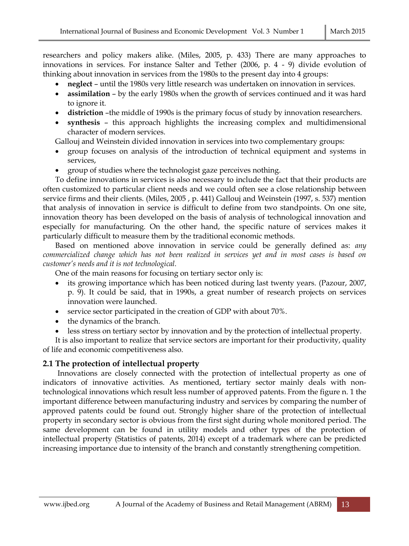researchers and policy makers alike. (Miles, 2005, p. 433) There are many approaches to innovations in services. For instance Salter and Tether (2006, p. 4 - 9) divide evolution of thinking about innovation in services from the 1980s to the present day into 4 groups:

- **neglect** until the 1980s very little research was undertaken on innovation in services.
- **assimilation** by the early 1980s when the growth of services continued and it was hard to ignore it.
- **distriction** –the middle of 1990s is the primary focus of study by innovation researchers.
- **synthesis** this approach highlights the increasing complex and multidimensional character of modern services.

Gallouj and Weinstein divided innovation in services into two complementary groups:

- group focuses on analysis of the introduction of technical equipment and systems in services,
- group of studies where the technologist gaze perceives nothing.

To define innovations in services is also necessary to include the fact that their products are often customized to particular client needs and we could often see a close relationship between service firms and their clients. (Miles, 2005 , p. 441) Gallouj and Weinstein (1997, s. 537) mention that analysis of innovation in service is difficult to define from two standpoints. On one site, innovation theory has been developed on the basis of analysis of technological innovation and especially for manufacturing. On the other hand, the specific nature of services makes it particularly difficult to measure them by the traditional economic methods.

Based on mentioned above innovation in service could be generally defined as: *any commercialized change which has not been realized in services yet and in most cases is based on customer's needs and it is not technological.*

One of the main reasons for focusing on tertiary sector only is:

- its growing importance which has been noticed during last twenty years. (Pazour, 2007, p. 9). It could be said, that in 1990s, a great number of research projects on services innovation were launched.
- service sector participated in the creation of GDP with about 70%.
- the dynamics of the branch.
- less stress on tertiary sector by innovation and by the protection of intellectual property.

It is also important to realize that service sectors are important for their productivity, quality of life and economic competitiveness also.

## **2.1 The protection of intellectual property**

Innovations are closely connected with the protection of intellectual property as one of indicators of innovative activities. As mentioned, tertiary sector mainly deals with nontechnological innovations which result less number of approved patents. From the figure n. 1 the important difference between manufacturing industry and services by comparing the number of approved patents could be found out. Strongly higher share of the protection of intellectual property in secondary sector is obvious from the first sight during whole monitored period. The same development can be found in utility models and other types of the protection of intellectual property (Statistics of patents, 2014) except of a trademark where can be predicted increasing importance due to intensity of the branch and constantly strengthening competition.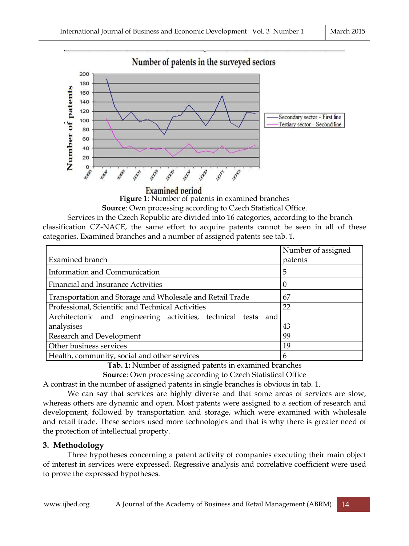

**Examined period Figure 1**: Number of patents in examined branches **Source**: Own processing according to Czech Statistical Office.

Services in the Czech Republic are divided into 16 categories, according to the branch classification CZ-NACE, the same effort to acquire patents cannot be seen in all of these categories. Examined branches and a number of assigned patents see tab. 1.

|                                                               | Number of assigned |
|---------------------------------------------------------------|--------------------|
| Examined branch                                               | patents            |
| Information and Communication                                 | 5                  |
| Financial and Insurance Activities                            | 0                  |
| Transportation and Storage and Wholesale and Retail Trade     | 67                 |
| Professional, Scientific and Technical Activities             | 22                 |
| Architectonic and engineering activities, technical tests and |                    |
| analysises                                                    | 43                 |
| Research and Development                                      | 99                 |
| Other business services                                       | 19                 |
| Health, community, social and other services                  | 6                  |

**Tab. 1:** Number of assigned patents in examined branches

**Source**: Own processing according to Czech Statistical Office

A contrast in the number of assigned patents in single branches is obvious in tab. 1.

We can say that services are highly diverse and that some areas of services are slow, whereas others are dynamic and open. Most patents were assigned to a section of research and development, followed by transportation and storage, which were examined with wholesale and retail trade. These sectors used more technologies and that is why there is greater need of the protection of intellectual property.

### **3. Methodology**

Three hypotheses concerning a patent activity of companies executing their main object of interest in services were expressed. Regressive analysis and correlative coefficient were used to prove the expressed hypotheses.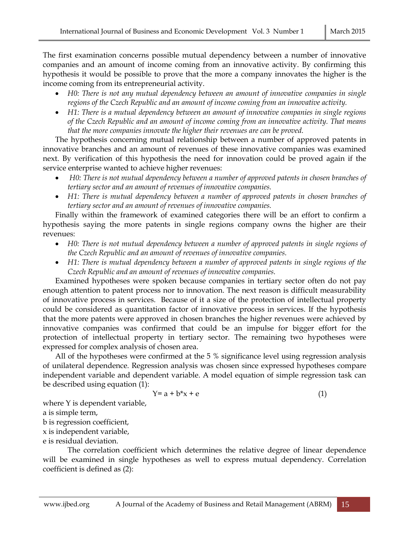The first examination concerns possible mutual dependency between a number of innovative companies and an amount of income coming from an innovative activity. By confirming this hypothesis it would be possible to prove that the more a company innovates the higher is the income coming from its entrepreneurial activity.

- *H0: There is not any mutual dependency between an amount of innovative companies in single regions of the Czech Republic and an amount of income coming from an innovative activity.*
- *H1: There is a mutual dependency between an amount of innovative companies in single regions of the Czech Republic and an amount of income coming from an innovative activity. That means that the more companies innovate the higher their revenues are can be proved.*

The hypothesis concerning mutual relationship between a number of approved patents in innovative branches and an amount of revenues of these innovative companies was examined next. By verification of this hypothesis the need for innovation could be proved again if the service enterprise wanted to achieve higher revenues:

- *H0: There is not mutual dependency between a number of approved patents in chosen branches of tertiary sector and an amount of revenues of innovative companies.*
- *H1: There is mutual dependency between a number of approved patents in chosen branches of tertiary sector and an amount of revenues of innovative companies.*

Finally within the framework of examined categories there will be an effort to confirm a hypothesis saying the more patents in single regions company owns the higher are their revenues:

- *H0: There is not mutual dependency between a number of approved patents in single regions of the Czech Republic and an amount of revenues of innovative companies.*
- *H1: There is mutual dependency between a number of approved patents in single regions of the Czech Republic and an amount of revenues of innovative companies.*

Examined hypotheses were spoken because companies in tertiary sector often do not pay enough attention to patent process nor to innovation. The next reason is difficult measurability of innovative process in services. Because of it a size of the protection of intellectual property could be considered as quantitation factor of innovative process in services. If the hypothesis that the more patents were approved in chosen branches the higher revenues were achieved by innovative companies was confirmed that could be an impulse for bigger effort for the protection of intellectual property in tertiary sector. The remaining two hypotheses were expressed for complex analysis of chosen area.

All of the hypotheses were confirmed at the 5 % significance level using regression analysis of unilateral dependence. Regression analysis was chosen since expressed hypotheses compare independent variable and dependent variable. A model equation of simple regression task can be described using equation (1):

$$
Y = a + b^*x + e \tag{1}
$$

where Y is dependent variable,

a is simple term,

- b is regression coefficient,
- x is independent variable,

e is residual deviation.

The correlation coefficient which determines the relative degree of linear dependence will be examined in single hypotheses as well to express mutual dependency. Correlation coefficient is defined as (2):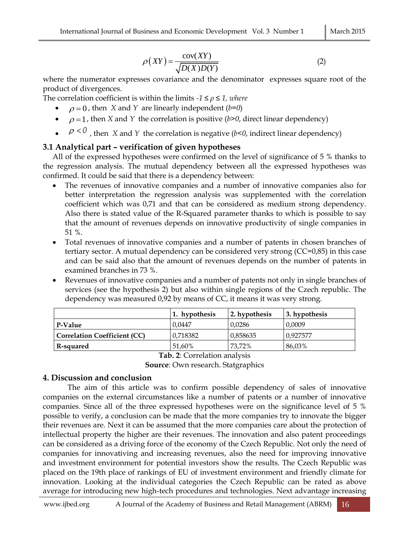$$
\rho(XY) = \frac{\text{cov}(XY)}{\sqrt{D(X)D(Y)}}\tag{2}
$$

where the numerator expresses covariance and the denominator expresses square root of the product of divergences.

The correlation coefficient is within the limits *-1 ≤ ρ ≤ 1, where*

- $\rho = 0$ , then *X* and *Y* are linearly independent (*b*=0)
- $\rho = 1$ , then *X* and *Y* the correlation is positive (*b*>0, direct linear dependency)
- $p < 0$ , then *X* and *Y* the correlation is negative (*b*<0, indirect linear dependency)

## **3.1 Analytical part – verification of given hypotheses**

All of the expressed hypotheses were confirmed on the level of significance of 5 % thanks to the regression analysis. The mutual dependency between all the expressed hypotheses was confirmed. It could be said that there is a dependency between:

- The revenues of innovative companies and a number of innovative companies also for better interpretation the regression analysis was supplemented with the correlation coefficient which was 0,71 and that can be considered as medium strong dependency. Also there is stated value of the R-Squared parameter thanks to which is possible to say that the amount of revenues depends on innovative productivity of single companies in 51 %.
- Total revenues of innovative companies and a number of patents in chosen branches of tertiary sector. A mutual dependency can be considered very strong (CC=0,85) in this case and can be said also that the amount of revenues depends on the number of patents in examined branches in 73 %.
- Revenues of innovative companies and a number of patents not only in single branches of services (see the hypothesis 2) but also within single regions of the Czech republic. The dependency was measured 0,92 by means of CC, it means it was very strong.

|                                     | 1. hypothesis | 2. hypothesis | 3. hypothesis |
|-------------------------------------|---------------|---------------|---------------|
| P-Value                             | 0.0447        | 0.0286        | 0.0009        |
| <b>Correlation Coefficient (CC)</b> | 0,718382      | 0,858635      | 0.927577      |
| R-squared                           | 51,60%        | 73.72%        | 86,03%        |

**Tab. 2**: Correlation analysis

**Source**: Own research. Statgraphics

### **4. Discussion and conclusion**

The aim of this article was to confirm possible dependency of sales of innovative companies on the external circumstances like a number of patents or a number of innovative companies. Since all of the three expressed hypotheses were on the significance level of 5 % possible to verify, a conclusion can be made that the more companies try to innovate the bigger their revenues are. Next it can be assumed that the more companies care about the protection of intellectual property the higher are their revenues. The innovation and also patent proceedings can be considered as a driving force of the economy of the Czech Republic. Not only the need of companies for innovativing and increasing revenues, also the need for improving innovative and investment environment for potential investors show the results. The Czech Republic was placed on the 19th place of rankings of EU of investment environment and friendly climate for innovation. Looking at the individual categories the Czech Republic can be rated as above average for introducing new high-tech procedures and technologies. Next advantage increasing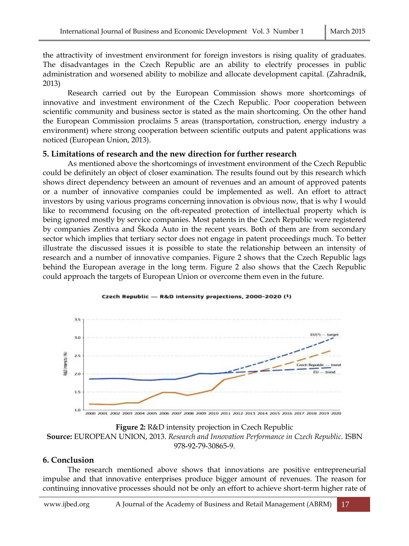the attractivity of investment environment for foreign investors is rising quality of graduates. The disadvantages in the Czech Republic are an ability to electrify processes in public administration and worsened ability to mobilize and allocate development capital. (Zahradník, 2013)

Research carried out by the European Commission shows more shortcomings of innovative and investment environment of the Czech Republic. Poor cooperation between scientific community and business sector is stated as the main shortcoming. On the other hand the European Commission proclaims 5 areas (transportation, construction, energy industry a environment) where strong cooperation between scientific outputs and patent applications was noticed (European Union, 2013).

#### **5. Limitations of research and the new direction for further research**

As mentioned above the shortcomings of investment environment of the Czech Republic could be definitely an object of closer examination. The results found out by this research which shows direct dependency between an amount of revenues and an amount of approved patents or a number of innovative companies could be implemented as well. An effort to attract investors by using various programs concerning innovation is obvious now, that is why I would like to recommend focusing on the oft-repeated protection of intellectual property which is being ignored mostly by service companies. Most patents in the Czech Republic were registered by companies Zentiva and Škoda Auto in the recent years. Both of them are from secondary sector which implies that tertiary sector does not engage in patent proceedings much. To better illustrate the discussed issues it is possible to state the relationship between an intensity of research and a number of innovative companies. Figure 2 shows that the Czech Republic lags behind the European average in the long term. Figure 2 also shows that the Czech Republic could approach the targets of European Union or overcome them even in the future.



#### Czech Republic - R&D intensity projections, 2000-2020 (1)

**Figure 2:** R&D intensity projection in Czech Republic **Source:** EUROPEAN UNION, 2013. *Research and Innovation Performance in Czech Republic.* ISBN 978-92-79-30865-9.

#### **6. Conclusion**

The research mentioned above shows that innovations are positive entrepreneurial impulse and that innovative enterprises produce bigger amount of revenues. The reason for continuing innovative processes should not be only an effort to achieve short-term higher rate of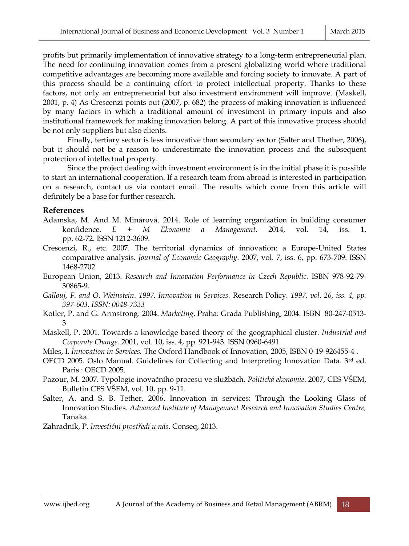profits but primarily implementation of innovative strategy to a long-term entrepreneurial plan. The need for continuing innovation comes from a present globalizing world where traditional competitive advantages are becoming more available and forcing society to innovate. A part of this process should be a continuing effort to protect intellectual property. Thanks to these factors, not only an entrepreneurial but also investment environment will improve. (Maskell, 2001, p. 4) As Crescenzi points out (2007, p. 682) the process of making innovation is influenced by many factors in which a traditional amount of investment in primary inputs and also institutional framework for making innovation belong. A part of this innovative process should be not only suppliers but also clients.

Finally, tertiary sector is less innovative than secondary sector (Salter and Thether, 2006), but it should not be a reason to underestimate the innovation process and the subsequent protection of intellectual property.

Since the project dealing with investment environment is in the initial phase it is possible to start an international cooperation. If a research team from abroad is interested in participation on a research, contact us via contact email. The results which come from this article will definitely be a base for further research.

#### **References**

- Adamska, M. And M. Minárová. 2014. Role of learning organization in building consumer konfidence. *E + M Ekonomie a Management.* 2014, vol. 14, iss. 1, pp. 62-72. ISSN 1212-3609.
- Crescenzi, R., etc. 2007. The territorial dynamics of innovation: a Europe-United States comparative analysis. *Journal of Economic Geography*. 2007, vol. 7, iss. 6, pp. 673-709. ISSN 1468-2702
- European Union, 2013. *Research and Innovation Performance in Czech Republic.* ISBN 978-92-79- 30865-9.
- *Gallouj, F. and O. Weinstein. 1997. Innovation in Services.* Research Policy*. 1997, vol. 26, iss. 4, pp. 397-603. ISSN: 0048-7333*
- Kotler, P. and G. Armstrong. 2004. *Marketing*. Praha: Grada Publishing, 2004. ISBN 80-247-0513- 3
- Maskell, P. 2001. Towards a knowledge based theory of the geographical cluster. *Industrial and Corporate Change.* 2001, vol. 10, iss. 4, pp. 921-943. ISSN 0960-6491.
- Miles, I. *Innovation in Services.* The Oxford Handbook of Innovation, 2005, ISBN 0-19-926455-4 .
- OECD 2005. Oslo Manual. Guidelines for Collecting and Interpreting Innovation Data.  $3^{rd}$  ed. Paris : OECD 2005.
- Pazour, M. 2007. Typologie inovačního procesu ve službách. *Politická ekonomie*. 2007, CES VŠEM, Bulletin CES VŠEM, vol. 10, pp. 9-11.
- Salter, A. and S. B. Tether, 2006. Innovation in services: Through the Looking Glass of Innovation Studies. *Advanced Institute of Management Research and Innovation Studies Centre,* Tanaka.

Zahradník, P. *Investiční prostředí u nás*. Conseq, 2013.